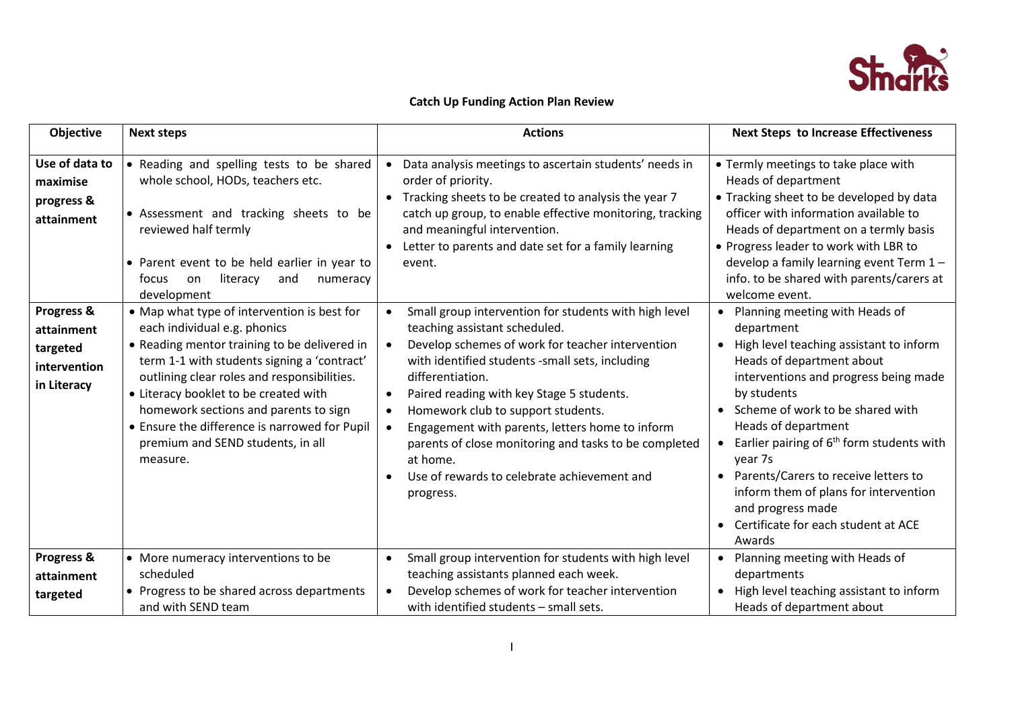

# **Catch Up Funding Action Plan Review**

| Objective                                                           | <b>Next steps</b>                                                                                                                                                                                                                                                                                                                                                                                             | <b>Actions</b>                                                                                                                                                                                                                                                                                                                                                                                                                                                                                        | <b>Next Steps to Increase Effectiveness</b>                                                                                                                                                                                                                                                                                                                                                                                                                          |
|---------------------------------------------------------------------|---------------------------------------------------------------------------------------------------------------------------------------------------------------------------------------------------------------------------------------------------------------------------------------------------------------------------------------------------------------------------------------------------------------|-------------------------------------------------------------------------------------------------------------------------------------------------------------------------------------------------------------------------------------------------------------------------------------------------------------------------------------------------------------------------------------------------------------------------------------------------------------------------------------------------------|----------------------------------------------------------------------------------------------------------------------------------------------------------------------------------------------------------------------------------------------------------------------------------------------------------------------------------------------------------------------------------------------------------------------------------------------------------------------|
| Use of data to<br>maximise<br>progress &<br>attainment              | • Reading and spelling tests to be shared<br>whole school, HODs, teachers etc.<br>• Assessment and tracking sheets to be<br>reviewed half termly<br>• Parent event to be held earlier in year to<br>literacy<br>on<br>and<br>focus<br>numeracy<br>development                                                                                                                                                 | Data analysis meetings to ascertain students' needs in<br>$\bullet$<br>order of priority.<br>Tracking sheets to be created to analysis the year 7<br>$\bullet$<br>catch up group, to enable effective monitoring, tracking<br>and meaningful intervention.<br>Letter to parents and date set for a family learning<br>event.                                                                                                                                                                          | • Termly meetings to take place with<br>Heads of department<br>• Tracking sheet to be developed by data<br>officer with information available to<br>Heads of department on a termly basis<br>• Progress leader to work with LBR to<br>develop a family learning event Term 1-<br>info. to be shared with parents/carers at<br>welcome event.                                                                                                                         |
| Progress &<br>attainment<br>targeted<br>intervention<br>in Literacy | • Map what type of intervention is best for<br>each individual e.g. phonics<br>• Reading mentor training to be delivered in<br>term 1-1 with students signing a 'contract'<br>outlining clear roles and responsibilities.<br>• Literacy booklet to be created with<br>homework sections and parents to sign<br>• Ensure the difference is narrowed for Pupil<br>premium and SEND students, in all<br>measure. | Small group intervention for students with high level<br>teaching assistant scheduled.<br>Develop schemes of work for teacher intervention<br>$\bullet$<br>with identified students -small sets, including<br>differentiation.<br>Paired reading with key Stage 5 students.<br>Homework club to support students.<br>Engagement with parents, letters home to inform<br>parents of close monitoring and tasks to be completed<br>at home.<br>Use of rewards to celebrate achievement and<br>progress. | • Planning meeting with Heads of<br>department<br>• High level teaching assistant to inform<br>Heads of department about<br>interventions and progress being made<br>by students<br>• Scheme of work to be shared with<br>Heads of department<br>• Earlier pairing of $6th$ form students with<br>year 7s<br>• Parents/Carers to receive letters to<br>inform them of plans for intervention<br>and progress made<br>• Certificate for each student at ACE<br>Awards |
| Progress &<br>attainment<br>targeted                                | • More numeracy interventions to be<br>scheduled<br>• Progress to be shared across departments<br>and with SEND team                                                                                                                                                                                                                                                                                          | Small group intervention for students with high level<br>$\bullet$<br>teaching assistants planned each week.<br>Develop schemes of work for teacher intervention<br>with identified students - small sets.                                                                                                                                                                                                                                                                                            | • Planning meeting with Heads of<br>departments<br>• High level teaching assistant to inform<br>Heads of department about                                                                                                                                                                                                                                                                                                                                            |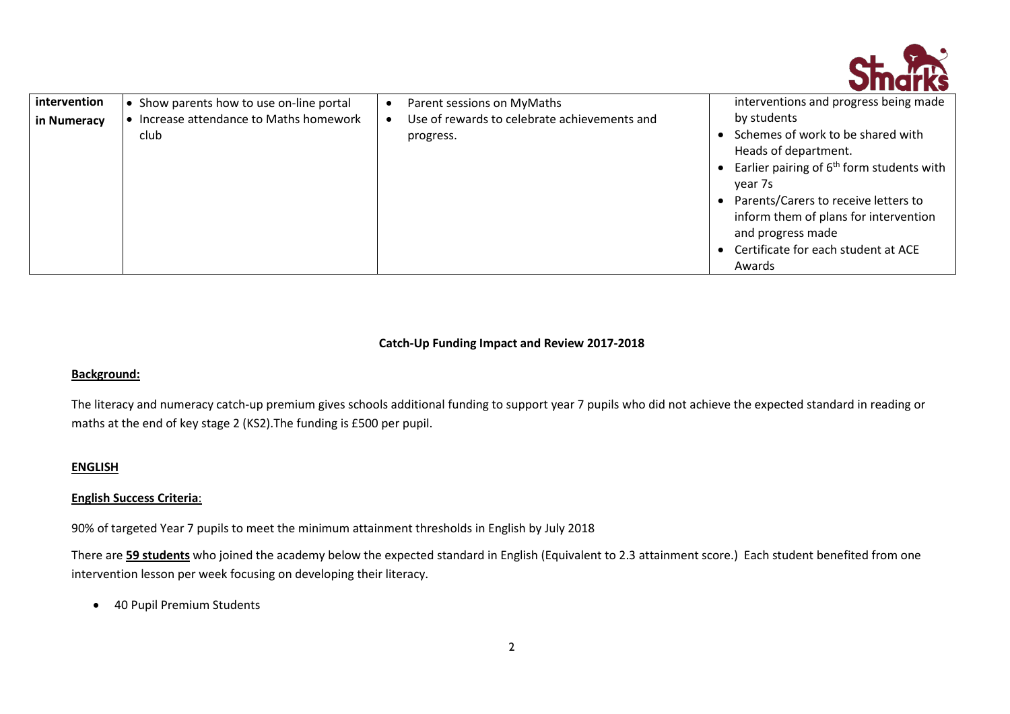

| • Increase attendance to Maths homework<br>in Numeracy | by students<br>Use of rewards to celebrate achievements and                                                                                                                                                                                                                |
|--------------------------------------------------------|----------------------------------------------------------------------------------------------------------------------------------------------------------------------------------------------------------------------------------------------------------------------------|
| club<br>progress.                                      | Schemes of work to be shared with<br>Heads of department.<br>Earlier pairing of $6th$ form students with<br>year 7s<br>Parents/Carers to receive letters to<br>inform them of plans for intervention<br>and progress made<br>Certificate for each student at ACE<br>Awards |

## **Catch-Up Funding Impact and Review 2017-2018**

#### **Background:**

The literacy and numeracy catch-up premium gives schools additional funding to support year 7 pupils who did not achieve the expected standard in reading or maths at the end of key stage 2 (KS2).The funding is £500 per pupil.

### **ENGLISH**

### **English Success Criteria**:

90% of targeted Year 7 pupils to meet the minimum attainment thresholds in English by July 2018

There are **59 students** who joined the academy below the expected standard in English (Equivalent to 2.3 attainment score.) Each student benefited from one intervention lesson per week focusing on developing their literacy.

• 40 Pupil Premium Students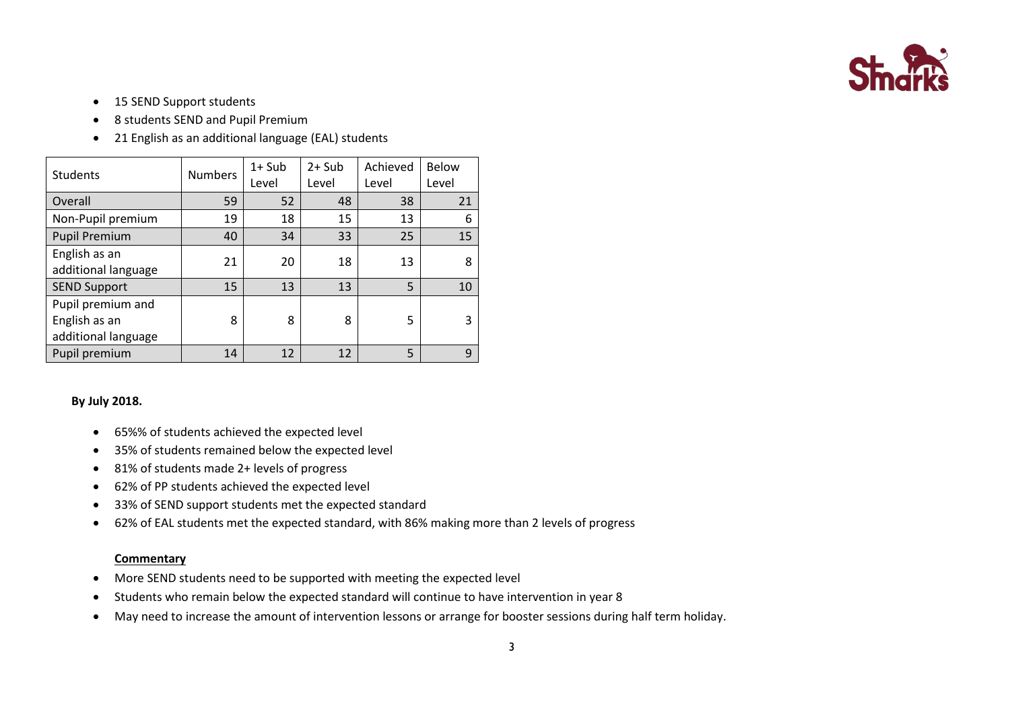

- 15 SEND Support students
- 8 students SEND and Pupil Premium
- 21 English as an additional language (EAL) students

| <b>Students</b>                                           | <b>Numbers</b> | $1+$ Sub<br>Level | $2+$ Sub<br>Level | Achieved<br>Level | <b>Below</b><br>Level |
|-----------------------------------------------------------|----------------|-------------------|-------------------|-------------------|-----------------------|
| Overall                                                   | 59             | 52                | 48                | 38                | 21                    |
| Non-Pupil premium                                         | 19             | 18                | 15                | 13                | 6                     |
| <b>Pupil Premium</b>                                      | 40             | 34                | 33                | 25                | 15                    |
| English as an<br>additional language                      | 21             | 20                | 18                | 13                | 8                     |
| <b>SEND Support</b>                                       | 15             | 13                | 13                | 5                 | 10                    |
| Pupil premium and<br>English as an<br>additional language | 8              | 8                 | 8                 | 5                 | 3                     |
| Pupil premium                                             | 14             | 12                | 12                | 5                 | 9                     |

### **By July 2018.**

- 65%% of students achieved the expected level
- 35% of students remained below the expected level
- 81% of students made 2+ levels of progress
- 62% of PP students achieved the expected level
- 33% of SEND support students met the expected standard
- 62% of EAL students met the expected standard, with 86% making more than 2 levels of progress

#### **Commentary**

- More SEND students need to be supported with meeting the expected level
- Students who remain below the expected standard will continue to have intervention in year 8
- May need to increase the amount of intervention lessons or arrange for booster sessions during half term holiday.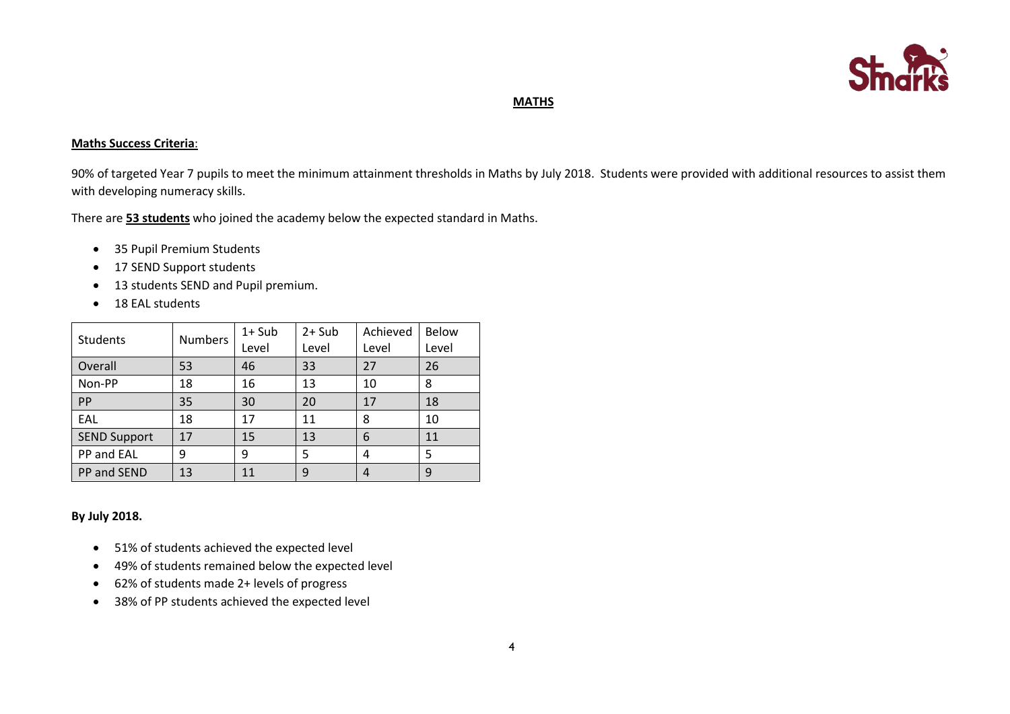

### **MATHS**

#### **Maths Success Criteria**:

90% of targeted Year 7 pupils to meet the minimum attainment thresholds in Maths by July 2018. Students were provided with additional resources to assist them with developing numeracy skills.

There are **53 students** who joined the academy below the expected standard in Maths.

- 35 Pupil Premium Students
- 17 SEND Support students
- 13 students SEND and Pupil premium.
- 18 EAL students

| Students            | <b>Numbers</b> | $1+$ Sub<br>Level | $2+$ Sub<br>Level | Achieved<br>Level | <b>Below</b><br>Level |
|---------------------|----------------|-------------------|-------------------|-------------------|-----------------------|
| Overall             | 53             | 46                | 33                | 27                | 26                    |
| Non-PP              | 18             | 16                | 13                | 10                | 8                     |
| PP                  | 35             | 30                | 20                | 17                | 18                    |
| EAL                 | 18             | 17                | 11                | 8                 | 10                    |
| <b>SEND Support</b> | 17             | 15                | 13                | 6                 | 11                    |
| PP and EAL          | 9              | 9                 | 5                 | 4                 | 5                     |
| PP and SEND         | 13             | 11                | 9                 | 4                 | 9                     |

### **By July 2018.**

- 51% of students achieved the expected level
- 49% of students remained below the expected level
- 62% of students made 2+ levels of progress
- 38% of PP students achieved the expected level